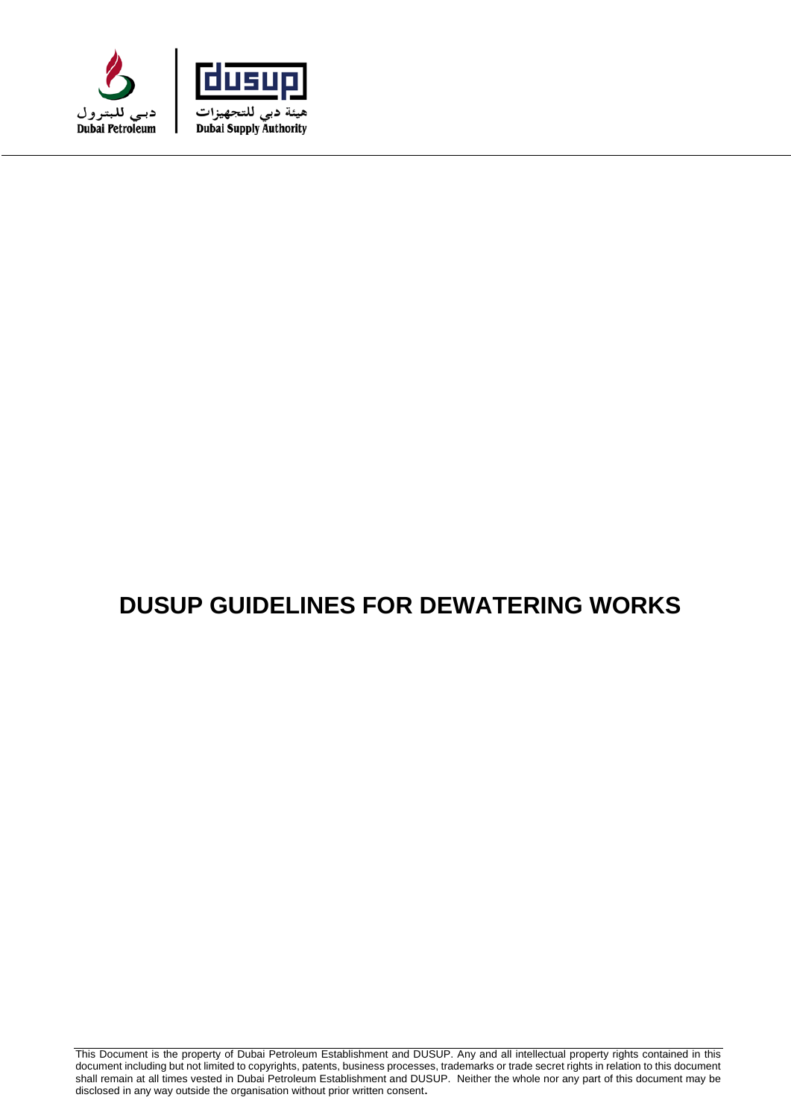



# **DUSUP GUIDELINES FOR DEWATERING WORKS**

This Document is the property of Dubai Petroleum Establishment and DUSUP. Any and all intellectual property rights contained in this document including but not limited to copyrights, patents, business processes, trademarks or trade secret rights in relation to this document shall remain at all times vested in Dubai Petroleum Establishment and DUSUP. Neither the whole nor any part of this document may be disclosed in any way outside the organisation without prior written consent.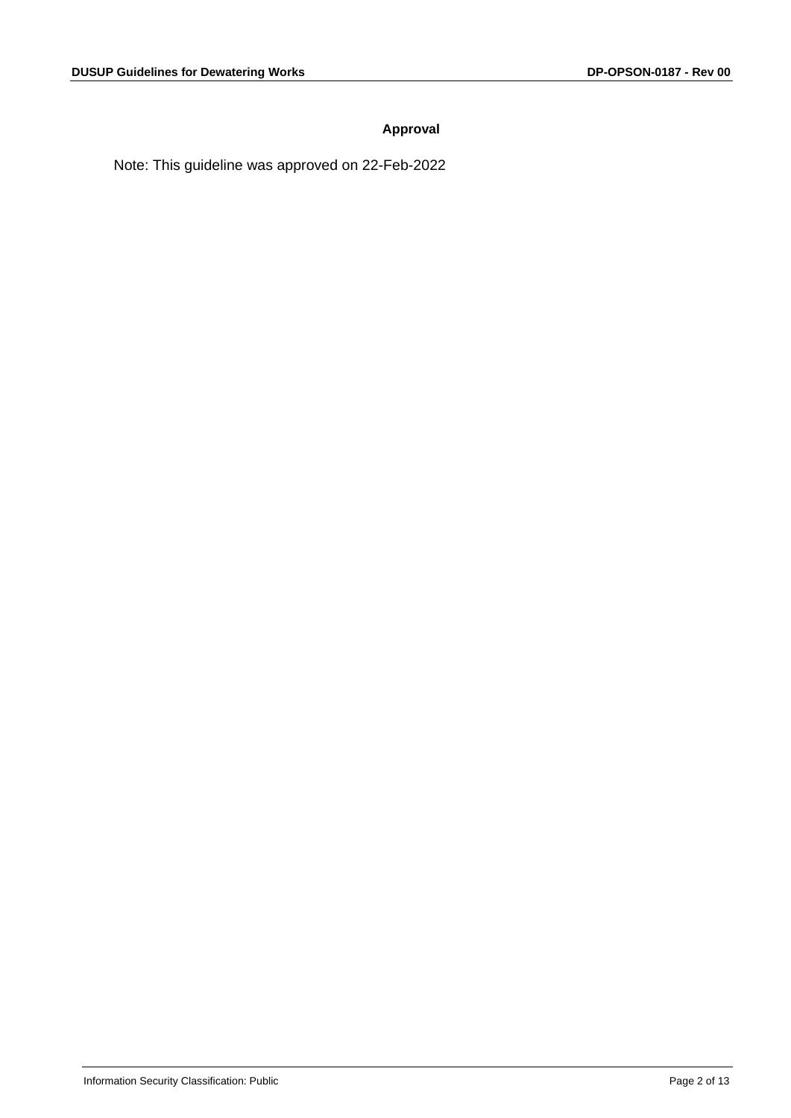#### **Approval**

Note: This guideline was approved on 22-Feb-2022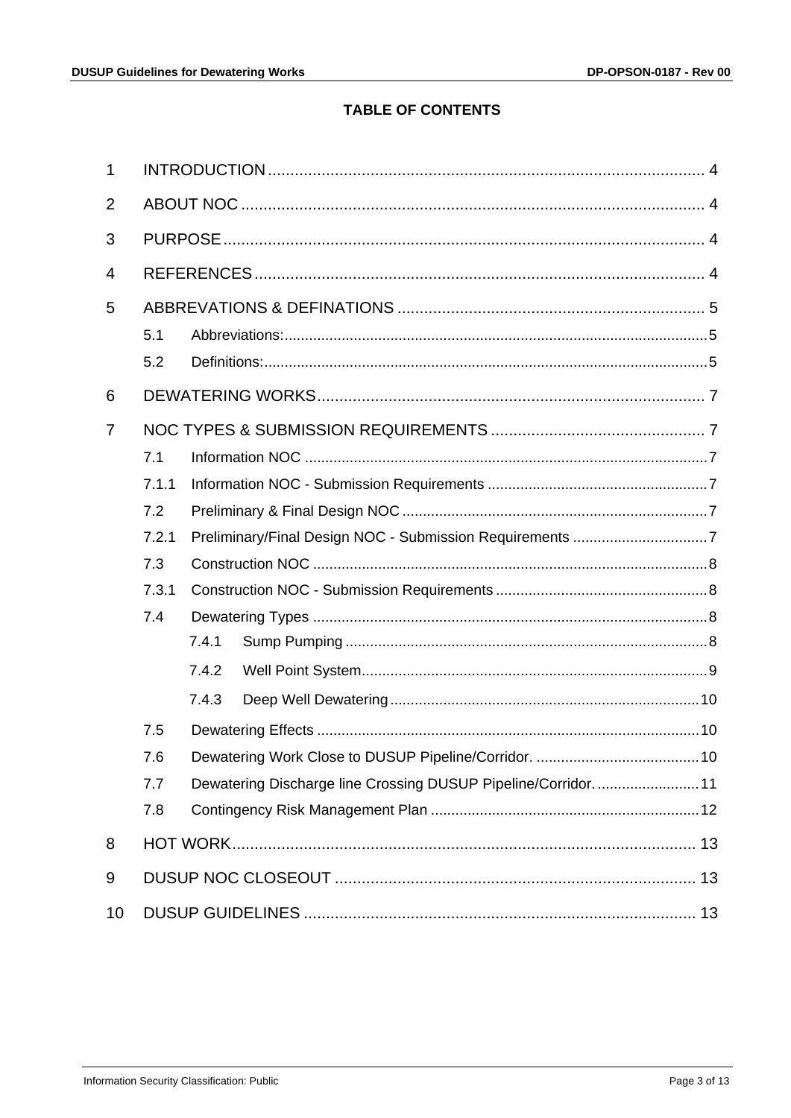# **TABLE OF CONTENTS**

| 1              |       |       |                                                               |  |  |  |  |
|----------------|-------|-------|---------------------------------------------------------------|--|--|--|--|
| $\overline{2}$ |       |       |                                                               |  |  |  |  |
| 3              |       |       |                                                               |  |  |  |  |
| 4              |       |       |                                                               |  |  |  |  |
| 5              |       |       |                                                               |  |  |  |  |
|                | 5.1   |       |                                                               |  |  |  |  |
|                | 5.2   |       |                                                               |  |  |  |  |
| 6              |       |       |                                                               |  |  |  |  |
| 7              |       |       |                                                               |  |  |  |  |
|                | 7.1   |       |                                                               |  |  |  |  |
|                | 7.1.1 |       |                                                               |  |  |  |  |
|                | 7.2   |       |                                                               |  |  |  |  |
|                | 7.2.1 |       |                                                               |  |  |  |  |
|                | 7.3   |       |                                                               |  |  |  |  |
|                | 7.3.1 |       |                                                               |  |  |  |  |
|                | 7.4   |       |                                                               |  |  |  |  |
|                |       | 7.4.1 |                                                               |  |  |  |  |
|                |       | 7.4.2 |                                                               |  |  |  |  |
|                |       | 7.4.3 |                                                               |  |  |  |  |
|                | 7.5   |       |                                                               |  |  |  |  |
|                | 7.6   |       |                                                               |  |  |  |  |
|                | 7.7   |       | Dewatering Discharge line Crossing DUSUP Pipeline/Corridor 11 |  |  |  |  |
|                | 7.8   |       |                                                               |  |  |  |  |
| 8              |       |       |                                                               |  |  |  |  |
| 9              |       |       |                                                               |  |  |  |  |
| 10             |       |       |                                                               |  |  |  |  |
|                |       |       |                                                               |  |  |  |  |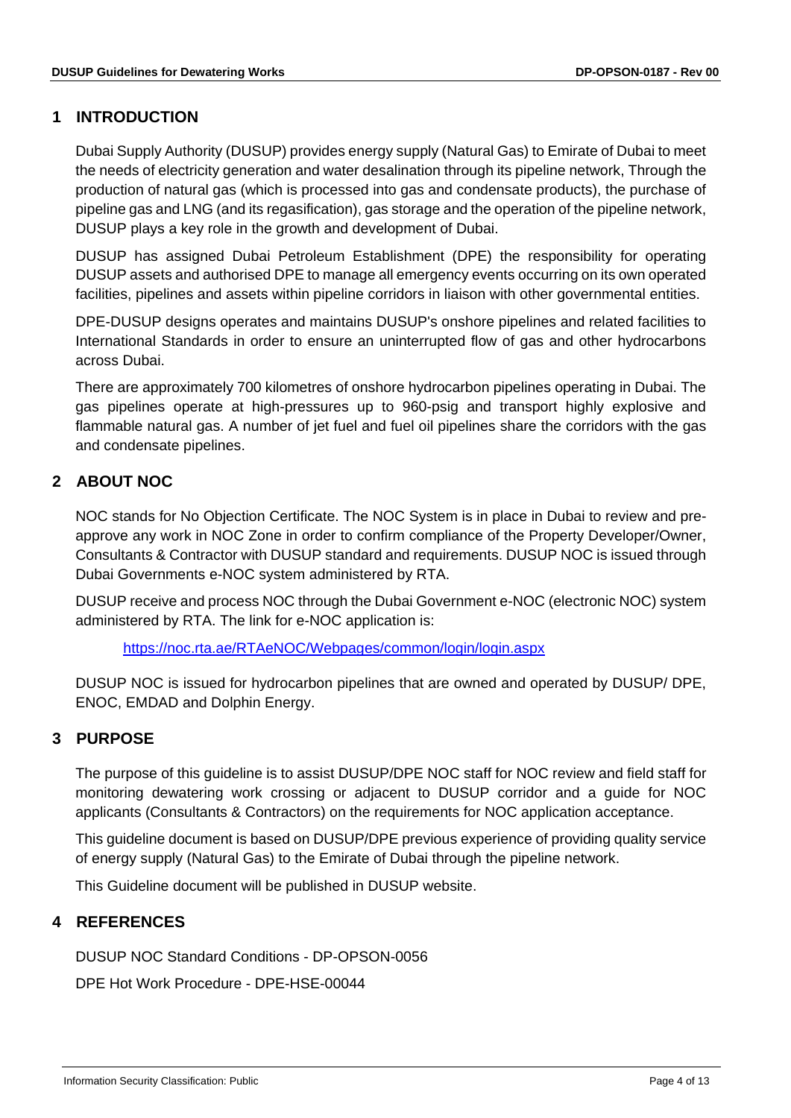# <span id="page-3-0"></span>**1 INTRODUCTION**

Dubai Supply Authority (DUSUP) provides energy supply (Natural Gas) to Emirate of Dubai to meet the needs of electricity generation and water desalination through its pipeline network, Through the production of natural gas (which is processed into gas and condensate products), the purchase of pipeline gas and LNG (and its regasification), gas storage and the operation of the pipeline network, DUSUP plays a key role in the growth and development of Dubai.

DUSUP has assigned Dubai Petroleum Establishment (DPE) the responsibility for operating DUSUP assets and authorised DPE to manage all emergency events occurring on its own operated facilities, pipelines and assets within pipeline corridors in liaison with other governmental entities.

DPE-DUSUP designs operates and maintains DUSUP's onshore pipelines and related facilities to International Standards in order to ensure an uninterrupted flow of gas and other hydrocarbons across Dubai.

There are approximately 700 kilometres of onshore hydrocarbon pipelines operating in Dubai. The gas pipelines operate at high-pressures up to 960-psig and transport highly explosive and flammable natural gas. A number of jet fuel and fuel oil pipelines share the corridors with the gas and condensate pipelines.

# <span id="page-3-1"></span>**2 ABOUT NOC**

NOC stands for No Objection Certificate. The NOC System is in place in Dubai to review and preapprove any work in NOC Zone in order to confirm compliance of the Property Developer/Owner, Consultants & Contractor with DUSUP standard and requirements. DUSUP NOC is issued through Dubai Governments e-NOC system administered by RTA.

DUSUP receive and process NOC through the Dubai Government e-NOC (electronic NOC) system administered by RTA. The link for e-NOC application is:

<https://noc.rta.ae/RTAeNOC/Webpages/common/login/login.aspx>

DUSUP NOC is issued for hydrocarbon pipelines that are owned and operated by DUSUP/ DPE, ENOC, EMDAD and Dolphin Energy.

# <span id="page-3-2"></span>**3 PURPOSE**

The purpose of this guideline is to assist DUSUP/DPE NOC staff for NOC review and field staff for monitoring dewatering work crossing or adjacent to DUSUP corridor and a guide for NOC applicants (Consultants & Contractors) on the requirements for NOC application acceptance.

This guideline document is based on DUSUP/DPE previous experience of providing quality service of energy supply (Natural Gas) to the Emirate of Dubai through the pipeline network.

This Guideline document will be published in DUSUP website.

# <span id="page-3-3"></span>**4 REFERENCES**

DUSUP NOC Standard Conditions - DP-OPSON-0056

DPE Hot Work Procedure - DPE-HSE-00044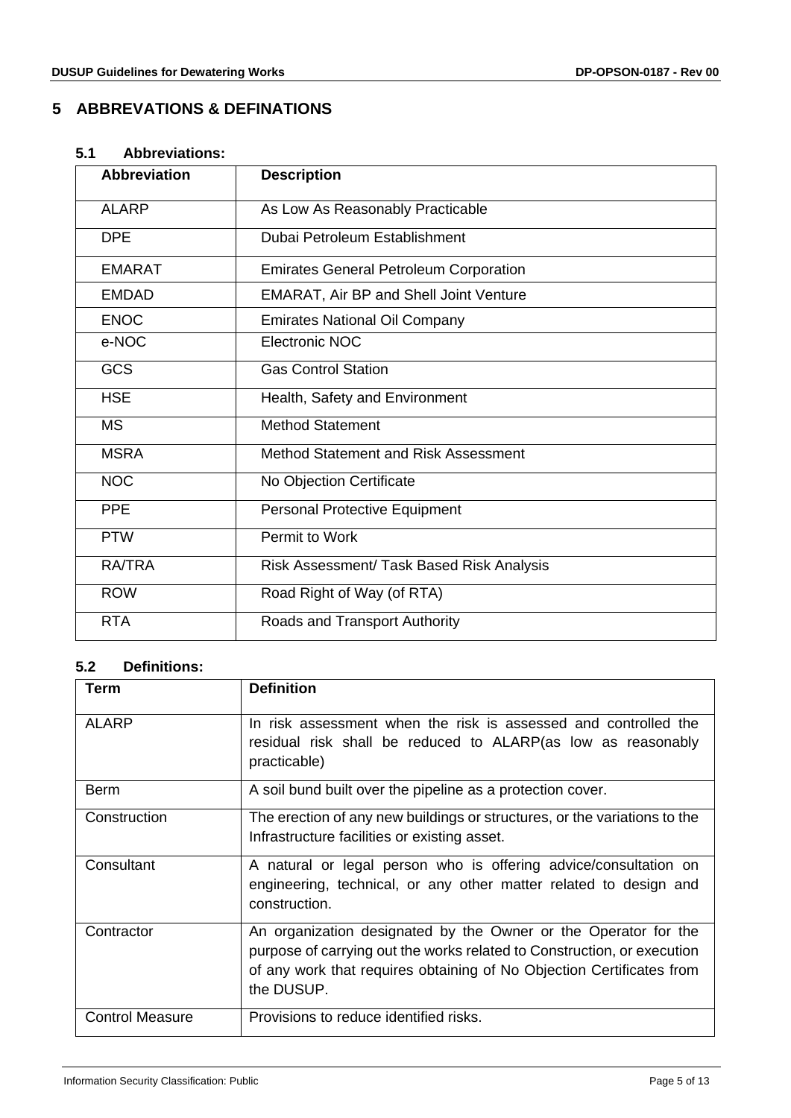# <span id="page-4-0"></span>**5 ABBREVATIONS & DEFINATIONS**

#### <span id="page-4-1"></span>**5.1 Abbreviations:**

| <b>Abbreviation</b> | <b>Description</b>                            |
|---------------------|-----------------------------------------------|
| <b>ALARP</b>        | As Low As Reasonably Practicable              |
| <b>DPE</b>          | Dubai Petroleum Establishment                 |
| <b>EMARAT</b>       | <b>Emirates General Petroleum Corporation</b> |
| <b>EMDAD</b>        | <b>EMARAT, Air BP and Shell Joint Venture</b> |
| <b>ENOC</b>         | <b>Emirates National Oil Company</b>          |
| e-NOC               | Electronic NOC                                |
| <b>GCS</b>          | <b>Gas Control Station</b>                    |
| <b>HSE</b>          | Health, Safety and Environment                |
| <b>MS</b>           | <b>Method Statement</b>                       |
| <b>MSRA</b>         | Method Statement and Risk Assessment          |
| <b>NOC</b>          | No Objection Certificate                      |
| <b>PPE</b>          | <b>Personal Protective Equipment</b>          |
| <b>PTW</b>          | Permit to Work                                |
| <b>RA/TRA</b>       | Risk Assessment/ Task Based Risk Analysis     |
| <b>ROW</b>          | Road Right of Way (of RTA)                    |
| <b>RTA</b>          | Roads and Transport Authority                 |

#### <span id="page-4-2"></span>**5.2 Definitions:**

| Term                   | <b>Definition</b>                                                         |
|------------------------|---------------------------------------------------------------------------|
|                        |                                                                           |
| <b>ALARP</b>           | In risk assessment when the risk is assessed and controlled the           |
|                        | residual risk shall be reduced to ALARP (as low as reasonably             |
|                        | practicable)                                                              |
| Berm                   | A soil bund built over the pipeline as a protection cover.                |
| Construction           | The erection of any new buildings or structures, or the variations to the |
|                        | Infrastructure facilities or existing asset.                              |
| Consultant             | A natural or legal person who is offering advice/consultation on          |
|                        | engineering, technical, or any other matter related to design and         |
|                        | construction.                                                             |
| Contractor             | An organization designated by the Owner or the Operator for the           |
|                        | purpose of carrying out the works related to Construction, or execution   |
|                        | of any work that requires obtaining of No Objection Certificates from     |
|                        | the DUSUP.                                                                |
| <b>Control Measure</b> | Provisions to reduce identified risks.                                    |
|                        |                                                                           |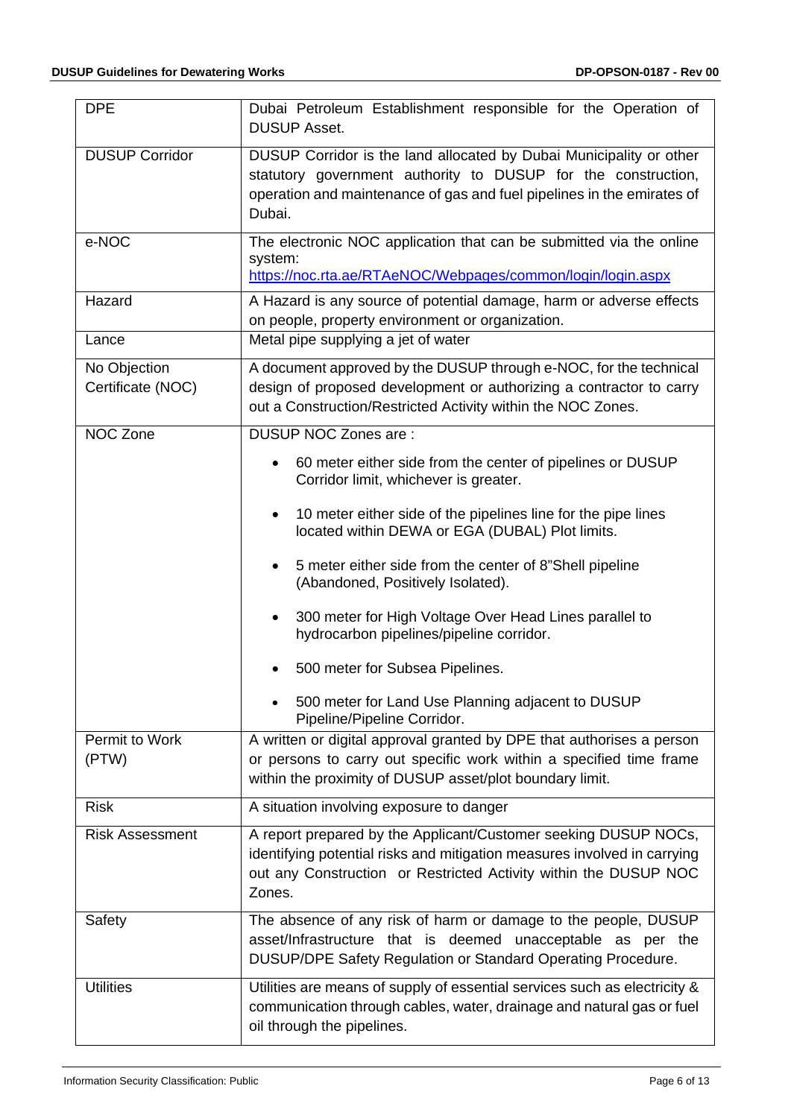| <b>DPE</b>                        | Dubai Petroleum Establishment responsible for the Operation of<br><b>DUSUP Asset.</b>                                                                                                                                     |
|-----------------------------------|---------------------------------------------------------------------------------------------------------------------------------------------------------------------------------------------------------------------------|
| <b>DUSUP Corridor</b>             | DUSUP Corridor is the land allocated by Dubai Municipality or other<br>statutory government authority to DUSUP for the construction,<br>operation and maintenance of gas and fuel pipelines in the emirates of<br>Dubai.  |
| e-NOC                             | The electronic NOC application that can be submitted via the online<br>system:<br>https://noc.rta.ae/RTAeNOC/Webpages/common/login/login.aspx                                                                             |
| Hazard                            | A Hazard is any source of potential damage, harm or adverse effects<br>on people, property environment or organization.                                                                                                   |
| Lance                             | Metal pipe supplying a jet of water                                                                                                                                                                                       |
| No Objection<br>Certificate (NOC) | A document approved by the DUSUP through e-NOC, for the technical<br>design of proposed development or authorizing a contractor to carry<br>out a Construction/Restricted Activity within the NOC Zones.                  |
| NOC Zone                          | DUSUP NOC Zones are:                                                                                                                                                                                                      |
|                                   | 60 meter either side from the center of pipelines or DUSUP<br>٠<br>Corridor limit, whichever is greater.                                                                                                                  |
|                                   | 10 meter either side of the pipelines line for the pipe lines<br>$\bullet$<br>located within DEWA or EGA (DUBAL) Plot limits.                                                                                             |
|                                   | 5 meter either side from the center of 8"Shell pipeline<br>$\bullet$<br>(Abandoned, Positively Isolated).                                                                                                                 |
|                                   | 300 meter for High Voltage Over Head Lines parallel to<br>$\bullet$<br>hydrocarbon pipelines/pipeline corridor.                                                                                                           |
|                                   | 500 meter for Subsea Pipelines.                                                                                                                                                                                           |
|                                   | 500 meter for Land Use Planning adjacent to DUSUP<br>Pipeline/Pipeline Corridor.                                                                                                                                          |
| Permit to Work<br>(PTW)           | A written or digital approval granted by DPE that authorises a person<br>or persons to carry out specific work within a specified time frame<br>within the proximity of DUSUP asset/plot boundary limit.                  |
| <b>Risk</b>                       | A situation involving exposure to danger                                                                                                                                                                                  |
| <b>Risk Assessment</b>            | A report prepared by the Applicant/Customer seeking DUSUP NOCs,<br>identifying potential risks and mitigation measures involved in carrying<br>out any Construction or Restricted Activity within the DUSUP NOC<br>Zones. |
| Safety                            | The absence of any risk of harm or damage to the people, DUSUP<br>asset/Infrastructure that is deemed unacceptable as per the<br>DUSUP/DPE Safety Regulation or Standard Operating Procedure.                             |
| <b>Utilities</b>                  | Utilities are means of supply of essential services such as electricity &<br>communication through cables, water, drainage and natural gas or fuel<br>oil through the pipelines.                                          |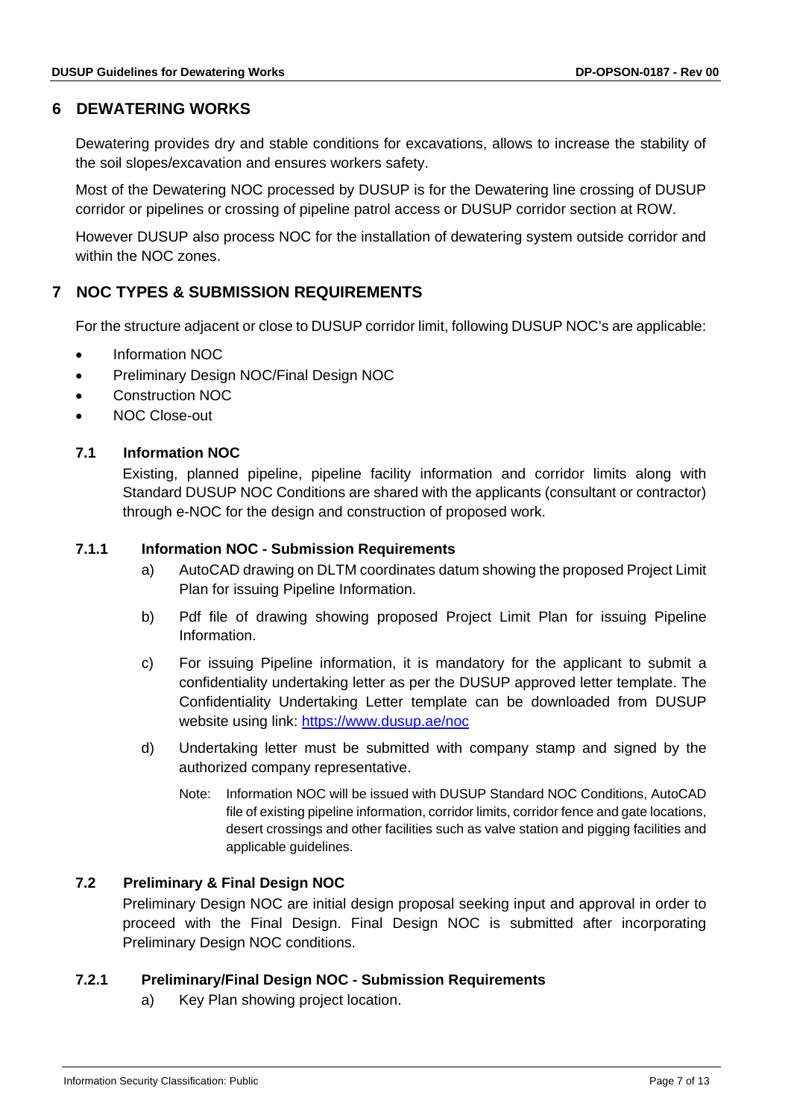# <span id="page-6-0"></span>**6 DEWATERING WORKS**

Dewatering provides dry and stable conditions for excavations, allows to increase the stability of the soil slopes/excavation and ensures workers safety.

Most of the Dewatering NOC processed by DUSUP is for the Dewatering line crossing of DUSUP corridor or pipelines or crossing of pipeline patrol access or DUSUP corridor section at ROW.

However DUSUP also process NOC for the installation of dewatering system outside corridor and within the NOC zones.

# <span id="page-6-1"></span>**7 NOC TYPES & SUBMISSION REQUIREMENTS**

For the structure adjacent or close to DUSUP corridor limit, following DUSUP NOC's are applicable:

- Information NOC
- Preliminary Design NOC/Final Design NOC
- Construction NOC
- <span id="page-6-2"></span>• NOC Close-out

## **7.1 Information NOC**

Existing, planned pipeline, pipeline facility information and corridor limits along with Standard DUSUP NOC Conditions are shared with the applicants (consultant or contractor) through e-NOC for the design and construction of proposed work.

## <span id="page-6-3"></span>**7.1.1 Information NOC - Submission Requirements**

- a) AutoCAD drawing on DLTM coordinates datum showing the proposed Project Limit Plan for issuing Pipeline Information.
- b) Pdf file of drawing showing proposed Project Limit Plan for issuing Pipeline Information.
- c) For issuing Pipeline information, it is mandatory for the applicant to submit a confidentiality undertaking letter as per the DUSUP approved letter template. The Confidentiality Undertaking Letter template can be downloaded from DUSUP website using link: <https://www.dusup.ae/noc>
- d) Undertaking letter must be submitted with company stamp and signed by the authorized company representative.
	- Note: Information NOC will be issued with DUSUP Standard NOC Conditions, AutoCAD file of existing pipeline information, corridor limits, corridor fence and gate locations, desert crossings and other facilities such as valve station and pigging facilities and applicable guidelines.

# <span id="page-6-4"></span>**7.2 Preliminary & Final Design NOC**

Preliminary Design NOC are initial design proposal seeking input and approval in order to proceed with the Final Design. Final Design NOC is submitted after incorporating Preliminary Design NOC conditions.

#### <span id="page-6-5"></span>**7.2.1 Preliminary/Final Design NOC - Submission Requirements**

a) Key Plan showing project location.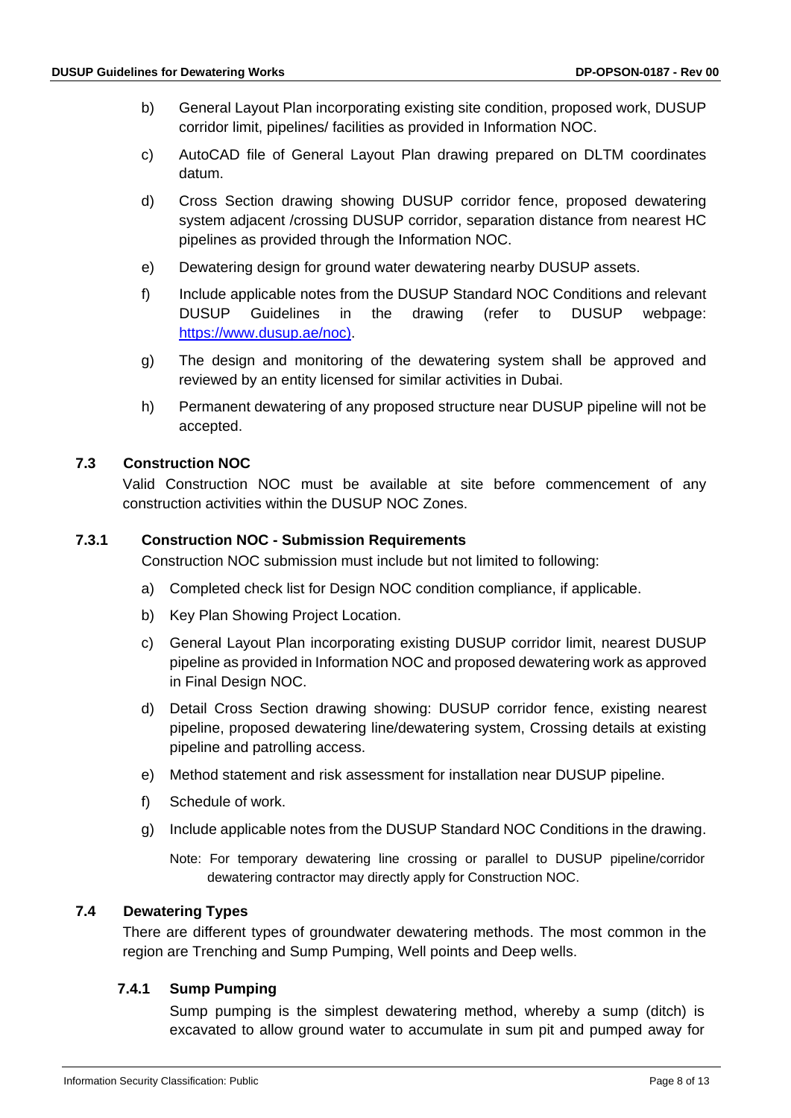- b) General Layout Plan incorporating existing site condition, proposed work, DUSUP corridor limit, pipelines/ facilities as provided in Information NOC.
- c) AutoCAD file of General Layout Plan drawing prepared on DLTM coordinates datum.
- d) Cross Section drawing showing DUSUP corridor fence, proposed dewatering system adjacent /crossing DUSUP corridor, separation distance from nearest HC pipelines as provided through the Information NOC.
- e) Dewatering design for ground water dewatering nearby DUSUP assets.
- f) Include applicable notes from the DUSUP Standard NOC Conditions and relevant DUSUP Guidelines in the drawing (refer to DUSUP webpage: [https://www.dusup.ae/noc\)](https://www.dusup.ae/noc).
- g) The design and monitoring of the dewatering system shall be approved and reviewed by an entity licensed for similar activities in Dubai.
- h) Permanent dewatering of any proposed structure near DUSUP pipeline will not be accepted.

## <span id="page-7-0"></span>**7.3 Construction NOC**

Valid Construction NOC must be available at site before commencement of any construction activities within the DUSUP NOC Zones.

#### <span id="page-7-1"></span>**7.3.1 Construction NOC - Submission Requirements**

Construction NOC submission must include but not limited to following:

- a) Completed check list for Design NOC condition compliance, if applicable.
- b) Key Plan Showing Project Location.
- c) General Layout Plan incorporating existing DUSUP corridor limit, nearest DUSUP pipeline as provided in Information NOC and proposed dewatering work as approved in Final Design NOC.
- d) Detail Cross Section drawing showing: DUSUP corridor fence, existing nearest pipeline, proposed dewatering line/dewatering system, Crossing details at existing pipeline and patrolling access.
- e) Method statement and risk assessment for installation near DUSUP pipeline.
- f) Schedule of work.
- g) Include applicable notes from the DUSUP Standard NOC Conditions in the drawing.

Note: For temporary dewatering line crossing or parallel to DUSUP pipeline/corridor dewatering contractor may directly apply for Construction NOC.

## <span id="page-7-2"></span>**7.4 Dewatering Types**

There are different types of groundwater dewatering methods. The most common in the region are Trenching and Sump Pumping, Well points and Deep wells.

# <span id="page-7-3"></span>**7.4.1 Sump Pumping**

Sump pumping is the simplest dewatering method, whereby a sump (ditch) is excavated to allow ground water to accumulate in sum pit and pumped away for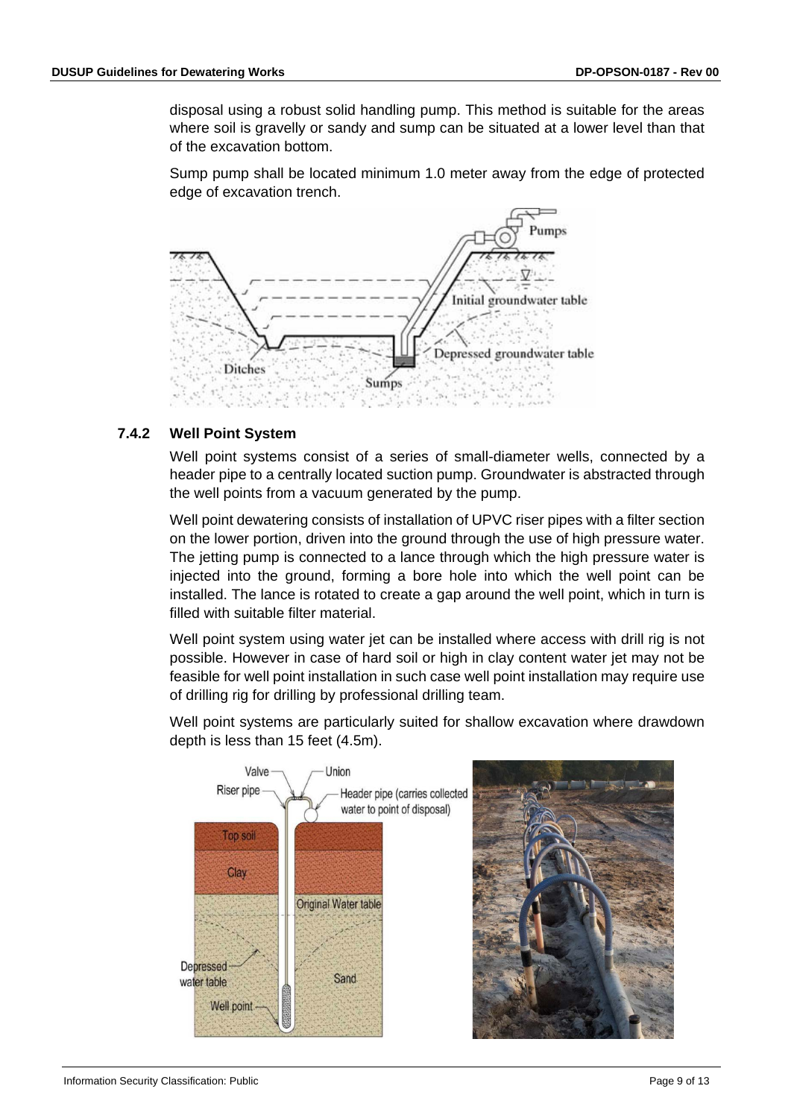disposal using a robust solid handling pump. This method is suitable for the areas where soil is gravelly or sandy and sump can be situated at a lower level than that of the excavation bottom.

Sump pump shall be located minimum 1.0 meter away from the edge of protected edge of excavation trench.



## <span id="page-8-0"></span>**7.4.2 Well Point System**

Well point systems consist of a series of small-diameter wells, connected by a header pipe to a centrally located suction pump. Groundwater is abstracted through the well points from a vacuum generated by the pump.

Well point dewatering consists of installation of UPVC riser pipes with a filter section on the lower portion, driven into the ground through the use of high pressure water. The jetting pump is connected to a lance through which the high pressure water is injected into the ground, forming a bore hole into which the well point can be installed. The lance is rotated to create a gap around the well point, which in turn is filled with suitable filter material.

Well point system using water jet can be installed where access with drill rig is not possible. However in case of hard soil or high in clay content water jet may not be feasible for well point installation in such case well point installation may require use of drilling rig for drilling by professional drilling team.

Well point systems are particularly suited for shallow excavation where drawdown depth is less than 15 feet (4.5m).

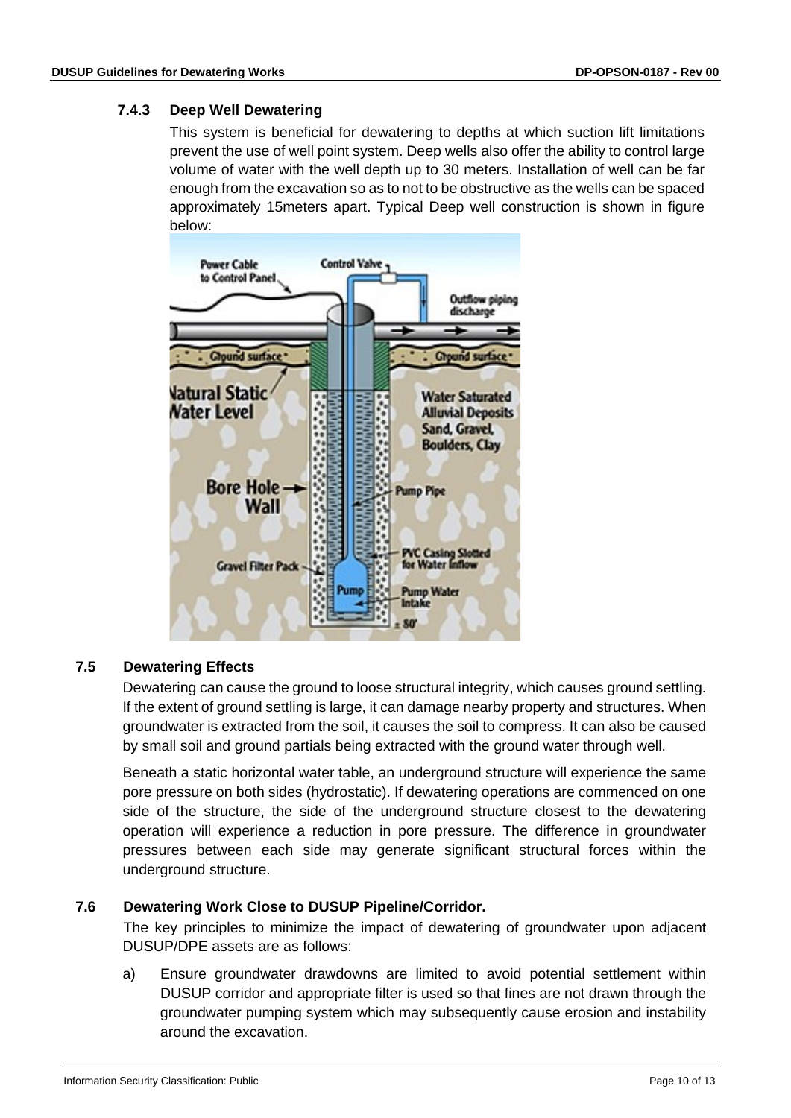# <span id="page-9-0"></span>**7.4.3 Deep Well Dewatering**

This system is beneficial for dewatering to depths at which suction lift limitations prevent the use of well point system. Deep wells also offer the ability to control large volume of water with the well depth up to 30 meters. Installation of well can be far enough from the excavation so as to not to be obstructive as the wells can be spaced approximately 15meters apart. Typical Deep well construction is shown in figure below:



# <span id="page-9-1"></span>**7.5 Dewatering Effects**

Dewatering can cause the ground to loose structural integrity, which causes ground settling. If the extent of ground settling is large, it can damage nearby property and structures. When groundwater is extracted from the soil, it causes the soil to compress. It can also be caused by small soil and ground partials being extracted with the ground water through well.

Beneath a static horizontal water table, an underground structure will experience the same pore pressure on both sides (hydrostatic). If dewatering operations are commenced on one side of the structure, the side of the underground structure closest to the dewatering operation will experience a reduction in pore pressure. The difference in groundwater pressures between each side may generate significant structural forces within the underground structure.

#### <span id="page-9-2"></span>**7.6 Dewatering Work Close to DUSUP Pipeline/Corridor.**

The key principles to minimize the impact of dewatering of groundwater upon adjacent DUSUP/DPE assets are as follows:

a) Ensure groundwater drawdowns are limited to avoid potential settlement within DUSUP corridor and appropriate filter is used so that fines are not drawn through the groundwater pumping system which may subsequently cause erosion and instability around the excavation.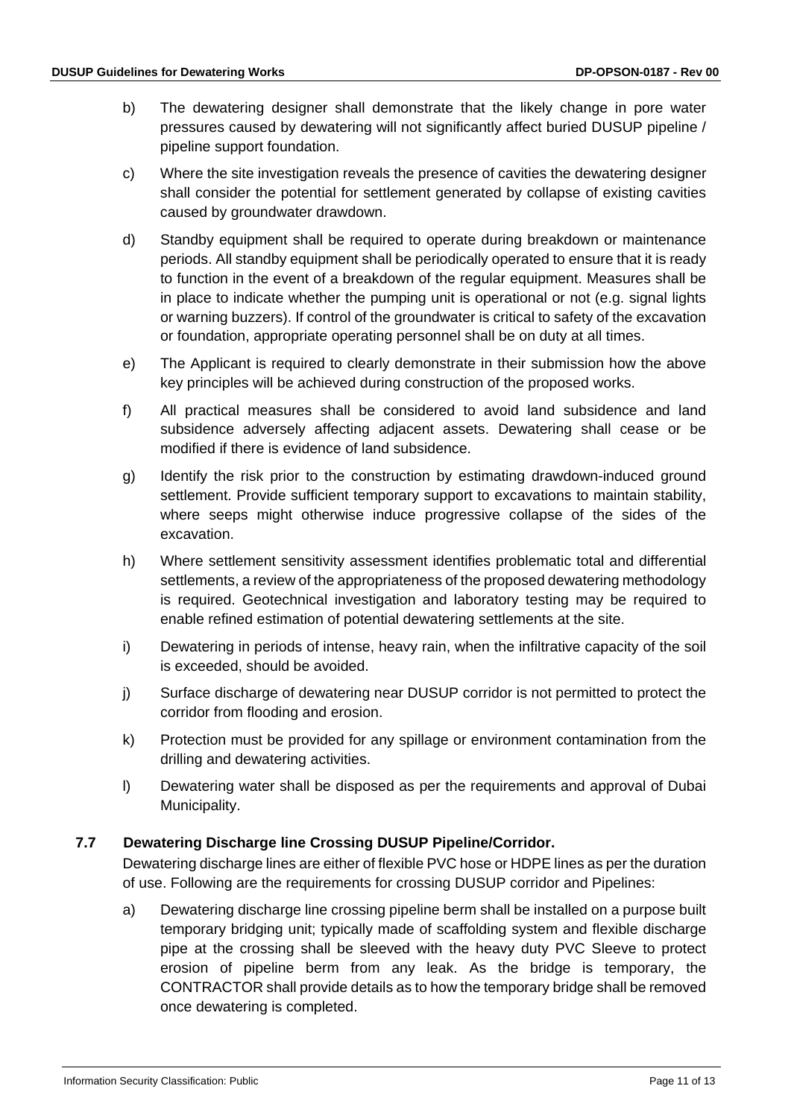- b) The dewatering designer shall demonstrate that the likely change in pore water pressures caused by dewatering will not significantly affect buried DUSUP pipeline / pipeline support foundation.
- c) Where the site investigation reveals the presence of cavities the dewatering designer shall consider the potential for settlement generated by collapse of existing cavities caused by groundwater drawdown.
- d) Standby equipment shall be required to operate during breakdown or maintenance periods. All standby equipment shall be periodically operated to ensure that it is ready to function in the event of a breakdown of the regular equipment. Measures shall be in place to indicate whether the pumping unit is operational or not (e.g. signal lights or warning buzzers). If control of the groundwater is critical to safety of the excavation or foundation, appropriate operating personnel shall be on duty at all times.
- e) The Applicant is required to clearly demonstrate in their submission how the above key principles will be achieved during construction of the proposed works.
- f) All practical measures shall be considered to avoid land subsidence and land subsidence adversely affecting adjacent assets. Dewatering shall cease or be modified if there is evidence of land subsidence.
- g) Identify the risk prior to the construction by estimating drawdown-induced ground settlement. Provide sufficient temporary support to excavations to maintain stability, where seeps might otherwise induce progressive collapse of the sides of the excavation.
- h) Where settlement sensitivity assessment identifies problematic total and differential settlements, a review of the appropriateness of the proposed dewatering methodology is required. Geotechnical investigation and laboratory testing may be required to enable refined estimation of potential dewatering settlements at the site.
- i) Dewatering in periods of intense, heavy rain, when the infiltrative capacity of the soil is exceeded, should be avoided.
- j) Surface discharge of dewatering near DUSUP corridor is not permitted to protect the corridor from flooding and erosion.
- k) Protection must be provided for any spillage or environment contamination from the drilling and dewatering activities.
- l) Dewatering water shall be disposed as per the requirements and approval of Dubai Municipality.

# <span id="page-10-0"></span>**7.7 Dewatering Discharge line Crossing DUSUP Pipeline/Corridor.**

Dewatering discharge lines are either of flexible PVC hose or HDPE lines as per the duration of use. Following are the requirements for crossing DUSUP corridor and Pipelines:

a) Dewatering discharge line crossing pipeline berm shall be installed on a purpose built temporary bridging unit; typically made of scaffolding system and flexible discharge pipe at the crossing shall be sleeved with the heavy duty PVC Sleeve to protect erosion of pipeline berm from any leak. As the bridge is temporary, the CONTRACTOR shall provide details as to how the temporary bridge shall be removed once dewatering is completed.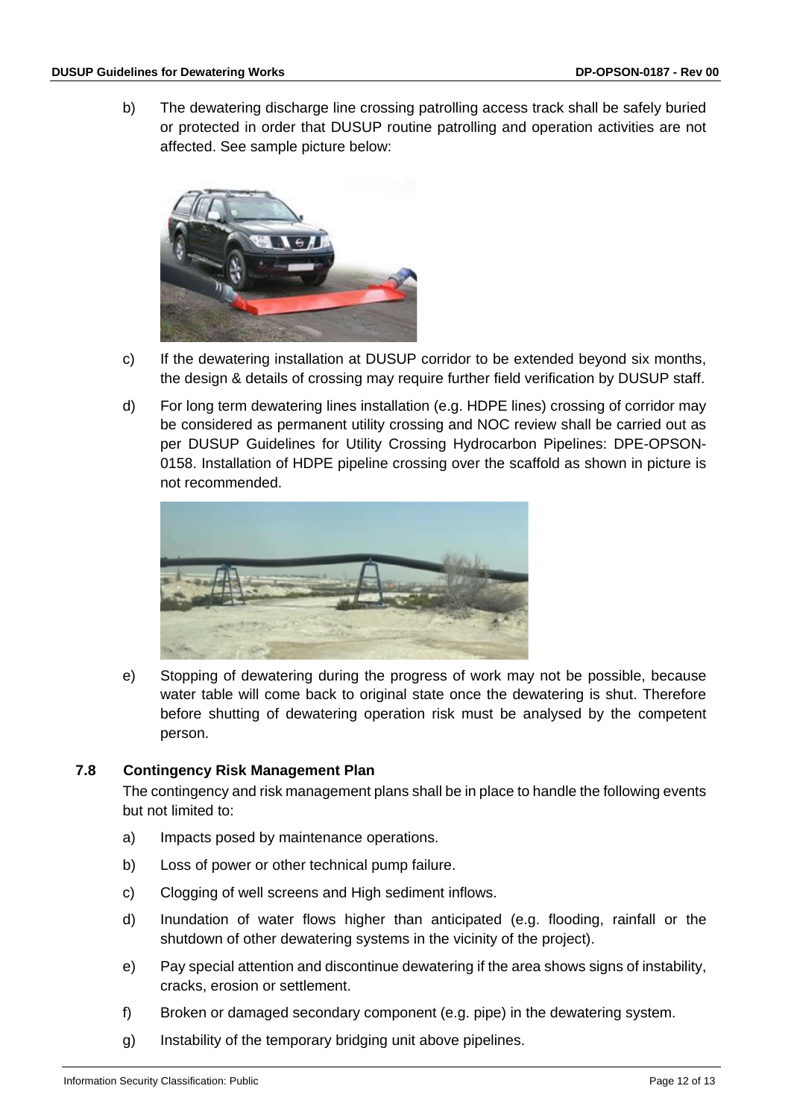b) The dewatering discharge line crossing patrolling access track shall be safely buried or protected in order that DUSUP routine patrolling and operation activities are not affected. See sample picture below:



- c) If the dewatering installation at DUSUP corridor to be extended beyond six months, the design & details of crossing may require further field verification by DUSUP staff.
- d) For long term dewatering lines installation (e.g. HDPE lines) crossing of corridor may be considered as permanent utility crossing and NOC review shall be carried out as per DUSUP Guidelines for Utility Crossing Hydrocarbon Pipelines: DPE-OPSON-0158. Installation of HDPE pipeline crossing over the scaffold as shown in picture is not recommended.



e) Stopping of dewatering during the progress of work may not be possible, because water table will come back to original state once the dewatering is shut. Therefore before shutting of dewatering operation risk must be analysed by the competent person.

#### <span id="page-11-0"></span>**7.8 Contingency Risk Management Plan**

The contingency and risk management plans shall be in place to handle the following events but not limited to:

- a) Impacts posed by maintenance operations.
- b) Loss of power or other technical pump failure.
- c) Clogging of well screens and High sediment inflows.
- d) Inundation of water flows higher than anticipated (e.g. flooding, rainfall or the shutdown of other dewatering systems in the vicinity of the project).
- e) Pay special attention and discontinue dewatering if the area shows signs of instability, cracks, erosion or settlement.
- f) Broken or damaged secondary component (e.g. pipe) in the dewatering system.
- g) Instability of the temporary bridging unit above pipelines.